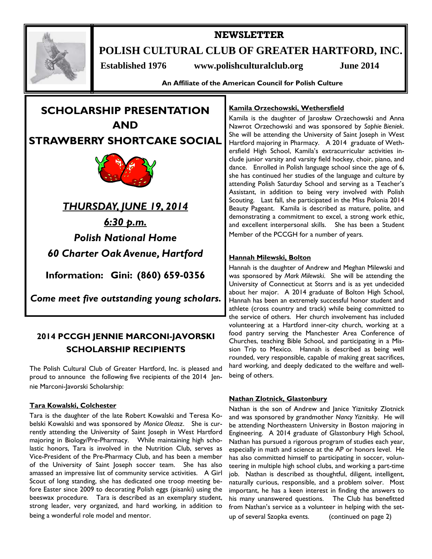

# **NEWSLETTER**

**POLISH CULTURAL CLUB OF GREATER HARTFORD, INC.** 

 **Established 1976 www.polishculturalclub.org June 2014** 

**An Affiliate of the American Council for Polish Culture** 



*THURSDAY, JUNE 19, 2014 6:30 p.m. Polish National Home 60 Charter Oak Avenue, Hartford* 

**Information: Gini: (860) 659-0356** 

*Come meet five outstanding young scholars.* 

# **2014 PCCGH JENNIE MARCONI-JAVORSKI SCHOLARSHIP RECIPIENTS**

The Polish Cultural Club of Greater Hartford, Inc. is pleased and proud to announce the following five recipients of the 2014 Jennie Marconi-Javorski Scholarship:

## **Tara Kowalski, Colchester**

Tara is the daughter of the late Robert Kowalski and Teresa Kobelski Kowalski and was sponsored by *Monica Oleasz*. She is currently attending the University of Saint Joseph in West Hartford majoring in Biology/Pre-Pharmacy. While maintaining high scholastic honors, Tara is involved in the Nutrition Club, serves as Vice-President of the Pre-Pharmacy Club, and has been a member of the University of Saint Joseph soccer team. She has also amassed an impressive list of community service activities. A Girl Scout of long standing, she has dedicated one troop meeting before Easter since 2009 to decorating Polish eggs (pisanki) using the beeswax procedure. Tara is described as an exemplary student, strong leader, very organized, and hard working, in addition to being a wonderful role model and mentor.

## **Kamila Orzechowski, Wethersfield**

Kamila is the daughter of Jarosław Orzechowski and Anna Nawrot Orzechowski and was sponsored by *Sophie Bieniek*. She will be attending the University of Saint Joseph in West Hartford majoring in Pharmacy. A 2014 graduate of Wethersfield High School, Kamila's extracurricular activities include junior varsity and varsity field hockey, choir, piano, and dance. Enrolled in Polish language school since the age of 6, she has continued her studies of the language and culture by attending Polish Saturday School and serving as a Teacher's Assistant, in addition to being very involved with Polish Scouting. Last fall, she participated in the Miss Polonia 2014 Beauty Pageant. Kamila is described as mature, polite, and demonstrating a commitment to excel, a strong work ethic, and excellent interpersonal skills. She has been a Student Member of the PCCGH for a number of years.

## **Hannah Milewski, Bolton**

Hannah is the daughter of Andrew and Meghan Milewski and was sponsored by *Mark Milewski*. She will be attending the University of Connecticut at Storrs and is as yet undecided about her major. A 2014 graduate of Bolton High School, Hannah has been an extremely successful honor student and athlete (cross country and track) while being committed to the service of others. Her church involvement has included volunteering at a Hartford inner-city church, working at a food pantry serving the Manchester Area Conference of Churches, teaching Bible School, and participating in a Mission Trip to Mexico. Hannah is described as being well rounded, very responsible, capable of making great sacrifices, hard working, and deeply dedicated to the welfare and wellbeing of others.

## **Nathan Zlotnick, Glastonbury**

Nathan is the son of Andrew and Janice Yiznitsky Zlotnick and was sponsored by grandmother *Nancy Yiznitsky*. He will be attending Northeastern University in Boston majoring in Engineering. A 2014 graduate of Glastonbury High School, Nathan has pursued a rigorous program of studies each year, especially in math and science at the AP or honors level. He has also committed himself to participating in soccer, volunteering in multiple high school clubs, and working a part-time job. Nathan is described as thoughtful, diligent, intelligent, naturally curious, responsible, and a problem solver. Most important, he has a keen interest in finding the answers to his many unanswered questions. The Club has benefitted from Nathan's service as a volunteer in helping with the setup of several Szopka events. (continued on page 2)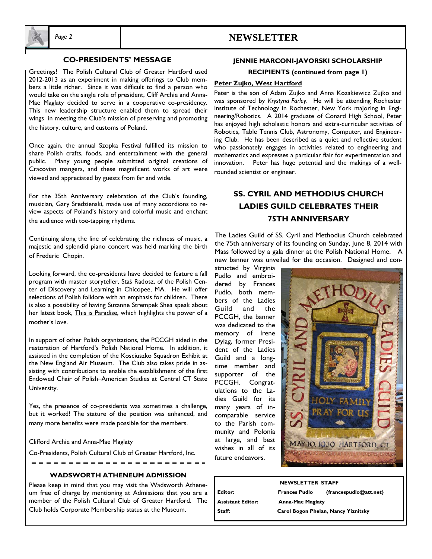

# *Page 2* **NEWSLETTER**

## **CO-PRESIDENTS' MESSAGE**

Greetings! The Polish Cultural Club of Greater Hartford used 2012-2013 as an experiment in making offerings to Club members a little richer. Since it was difficult to find a person who would take on the single role of president, Cliff Archie and Anna-Mae Maglaty decided to serve in a cooperative co-presidency. This new leadership structure enabled them to spread their wings in meeting the Club's mission of preserving and promoting the history, culture, and customs of Poland.

Once again, the annual Szopka Festival fulfilled its mission to share Polish crafts, foods, and entertainment with the general public. Many young people submitted original creations of Cracovian mangers, and these magnificent works of art were viewed and appreciated by guests from far and wide.

For the 35th Anniversary celebration of the Club's founding, musician, Gary Sredzienski, made use of many accordions to review aspects of Poland's history and colorful music and enchant the audience with toe-tapping rhythms.

Continuing along the line of celebrating the richness of music, a majestic and splendid piano concert was held marking the birth of Frederic Chopin.

Looking forward, the co-presidents have decided to feature a fall program with master storyteller, Staś Radosz, of the Polish Center of Discovery and Learning in Chicopee, MA. He will offer selections of Polish folklore with an emphasis for children. There is also a possibility of having Suzanne Strempek Shea speak about her latest book, This is Paradise, which highlights the power of a mother's love.

In support of other Polish organizations, the PCCGH aided in the restoration of Hartford's Polish National Home. In addition, it assisted in the completion of the Kosciuszko Squadron Exhibit at the New England Air Museum. The Club also takes pride in assisting with contributions to enable the establishment of the first Endowed Chair of Polish–American Studies at Central CT State University.

Yes, the presence of co-presidents was sometimes a challenge, but it worked! The stature of the position was enhanced, and many more benefits were made possible for the members.

Clifford Archie and Anna-Mae Maglaty

Co-Presidents, Polish Cultural Club of Greater Hartford, Inc.  $-$ 

#### **WADSWORTH ATHENEUM ADMISSION**

Please keep in mind that you may visit the Wadsworth Atheneum free of charge by mentioning at Admissions that you are a member of the Polish Cultural Club of Greater Hartford. The Club holds Corporate Membership status at the Museum.

### **JENNIE MARCONI-JAVORSKI SCHOLARSHIP**

**RECIPIENTS (continued from page 1)**

#### **Peter Zujko, West Hartford**

Peter is the son of Adam Zujko and Anna Kozakiewicz Zujko and was sponsored by *Krystyna Farley*. He will be attending Rochester Institute of Technology in Rochester, New York majoring in Engineering/Robotics. A 2014 graduate of Conard High School, Peter has enjoyed high scholastic honors and extra-curricular activities of Robotics, Table Tennis Club, Astronomy, Computer, and Engineering Club. He has been described as a quiet and reflective student who passionately engages in activities related to engineering and mathematics and expresses a particular flair for experimentation and innovation. Peter has huge potential and the makings of a wellrounded scientist or engineer.

# **SS. CYRIL AND METHODIUS CHURCH LADIES GUILD CELEBRATES THEIR 75TH ANNIVERSARY**

The Ladies Guild of SS. Cyril and Methodius Church celebrated the 75th anniversary of its founding on Sunday, June 8, 2014 with Mass followed by a gala dinner at the Polish National Home. A new banner was unveiled for the occasion. Designed and con-

structed by Virginia Pudlo and embroidered by Frances Pudlo, both members of the Ladies Guild and the PCCGH, the banner was dedicated to the memory of Irene Dylag, former President of the Ladies Guild and a longtime member and supporter of the PCCGH. Congratulations to the Ladies Guild for its many years of incomparable service to the Parish community and Polonia at large, and best wishes in all of its future endeavors.



## **NEWSLETTER STAFF Editor: Frances Pudlo (francespudlo@att.net) Assistant Editor: Anna-Mae Maglaty Staff: Carol Bogon Phelan, Nancy Yiznitsky**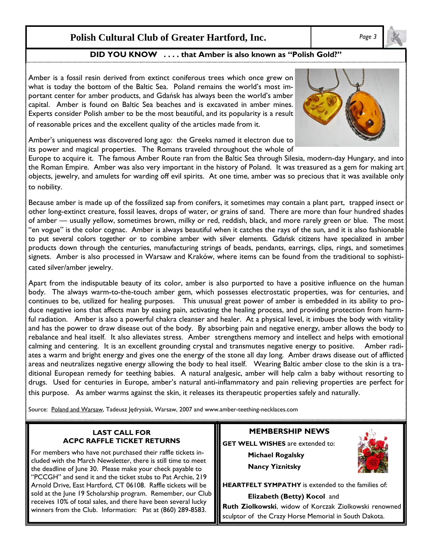# **Polish Cultural Club of Greater Hartford, Inc.** *Page 3*

# **DID YOU KNOW . . . . that Amber is also known as "Polish Gold?"**

Amber is a fossil resin derived from extinct coniferous trees which once grew on what is today the bottom of the Baltic Sea. Poland remains the world's most important center for amber products, and Gdańsk has always been the world's amber capital. Amber is found on Baltic Sea beaches and is excavated in amber mines. Experts consider Polish amber to be the most beautiful, and its popularity is a result of reasonable prices and the excellent quality of the articles made from it.



Amber's uniqueness was discovered long ago: the Greeks named it electron due to its power and magical properties. The Romans traveled throughout the whole of

Europe to acquire it. The famous Amber Route ran from the Baltic Sea through Silesia, modern-day Hungary, and into the Roman Empire. Amber was also very important in the history of Poland. It was treasured as a gem for making art objects, jewelry, and amulets for warding off evil spirits. At one time, amber was so precious that it was available only to nobility.

Because amber is made up of the fossilized sap from conifers, it sometimes may contain a plant part, trapped insect or other long-extinct creature, fossil leaves, drops of water, or grains of sand. There are more than four hundred shades of amber — usually yellow, sometimes brown, milky or red, reddish, black, and more rarely green or blue. The most "en vogue" is the color cognac. Amber is always beautiful when it catches the rays of the sun, and it is also fashionable to put several colors together or to combine amber with silver elements. Gdańsk citizens have specialized in amber products down through the centuries, manufacturing strings of beads, pendants, earrings, clips, rings, and sometimes signets. Amber is also processed in Warsaw and Kraków, where items can be found from the traditional to sophisticated silver/amber jewelry.

Apart from the indisputable beauty of its color, amber is also purported to have a positive influence on the human body. The always warm-to-the-touch amber gem, which possesses electrostatic properties, was for centuries, and continues to be, utilized for healing purposes. This unusual great power of amber is embedded in its ability to produce negative ions that affects man by easing pain, activating the healing process, and providing protection from harmful radiation. Amber is also a powerful chakra cleanser and healer. At a physical level, it imbues the body with vitality and has the power to draw disease out of the body. By absorbing pain and negative energy, amber allows the body to rebalance and heal itself. It also alleviates stress. Amber strengthens memory and intellect and helps with emotional calming and centering. It is an excellent grounding crystal and transmutes negative energy to positive. Amber radiates a warm and bright energy and gives one the energy of the stone all day long. Amber draws disease out of afflicted areas and neutralizes negative energy allowing the body to heal itself. Wearing Baltic amber close to the skin is a traditional European remedy for teething babies. A natural analgesic, amber will help calm a baby without resorting to drugs. Used for centuries in Europe, amber's natural anti-inflammatory and pain relieving properties are perfect for this purpose. As amber warms against the skin, it releases its therapeutic properties safely and naturally.

Source: Poland and Warsaw, Tadeusz Jędrysiak, Warsaw, 2007 and www.amber-teething-necklaces.com

### **LAST CALL FOR ACPC RAFFLE TICKET RETURNS**

For members who have not purchased their raffle tickets included with the March Newsletter, there is still time to meet the deadline of June 30. Please make your check payable to "PCCGH" and send it and the ticket stubs to Pat Archie, 219 Arnold Drive, East Hartford, CT 06108. Raffle tickets will be sold at the June 19 Scholarship program. Remember, our Club receives 10% of total sales, and there have been several lucky winners from the Club. Information: Pat at (860) 289-8583.

**MEMBERSHIP NEWS** 

**GET WELL WISHES** are extended to:  **Michael Rogalsky** 

 **Nancy Yiznitsky** 



**HEARTFELT SYMPATHY** is extended to the families of:

 **Elizabeth (Betty) Kocol** and

**Ruth Ziolkowski**, widow of Korczak Ziolkowski renowned sculptor of the Crazy Horse Memorial in South Dakota.